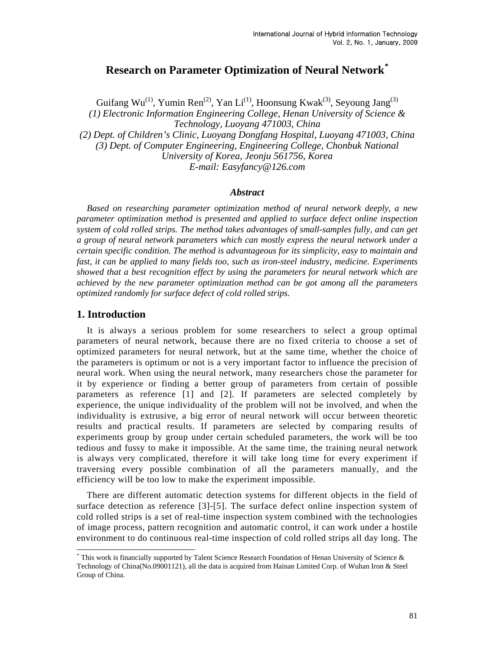# **Research on Parameter Optimization of Neural Network[\\*](#page-0-0)**

Guifang Wu<sup>(1)</sup>, Yumin Ren<sup>(2)</sup>, Yan Li<sup>(1)</sup>, Hoonsung Kwak<sup>(3)</sup>, Seyoung Jang<sup>(3)</sup> *(1) Electronic Information Engineering College, Henan University of Science & Technology, Luoyang 471003, China (2) Dept. of Children's Clinic, Luoyang Dongfang Hospital, Luoyang 471003, China (3) Dept. of Computer Engineering, Engineering College, Chonbuk National University of Korea, Jeonju 561756, Korea E-mail: Easyfancy@126.com*

#### *Abstract*

*Based on researching parameter optimization method of neural network deeply, a new parameter optimization method is presented and applied to surface defect online inspection system of cold rolled strips. The method takes advantages of small-samples fully, and can get a group of neural network parameters which can mostly express the neural network under a certain specific condition. The method is advantageous for its simplicity, easy to maintain and fast, it can be applied to many fields too, such as iron-steel industry, medicine. Experiments showed that a best recognition effect by using the parameters for neural network which are achieved by the new parameter optimization method can be got among all the parameters optimized randomly for surface defect of cold rolled strips.* 

### **1. Introduction**

l

It is always a serious problem for some researchers to select a group optimal parameters of neural network, because there are no fixed criteria to choose a set of optimized parameters for neural network, but at the same time, whether the choice of the parameters is optimum or not is a very important factor to influence the precision of neural work. When using the neural network, many researchers chose the parameter for it by experience or finding a better group of parameters from certain of possible parameters as reference [1] and [2]. If parameters are selected completely by experience, the unique individuality of the problem will not be involved, and when the individuality is extrusive, a big error of neural network will occur between theoretic results and practical results. If parameters are selected by comparing results of experiments group by group under certain scheduled parameters, the work will be too tedious and fussy to make it impossible. At the same time, the training neural network is always very complicated, therefore it will take long time for every experiment if traversing every possible combination of all the parameters manually, and the efficiency will be too low to make the experiment impossible.

There are different automatic detection systems for different objects in the field of surface detection as reference [3]-[5]. The surface defect online inspection system of cold rolled strips is a set of real-time inspection system combined with the technologies of image process, pattern recognition and automatic control, it can work under a hostile environment to do continuous real-time inspection of cold rolled strips all day long. The

<span id="page-0-0"></span><sup>\*</sup> This work is financially supported by Talent Science Research Foundation of Henan University of Science & Technology of China(No.09001121), all the data is acquired from Hainan Limited Corp. of Wuhan Iron & Steel Group of China.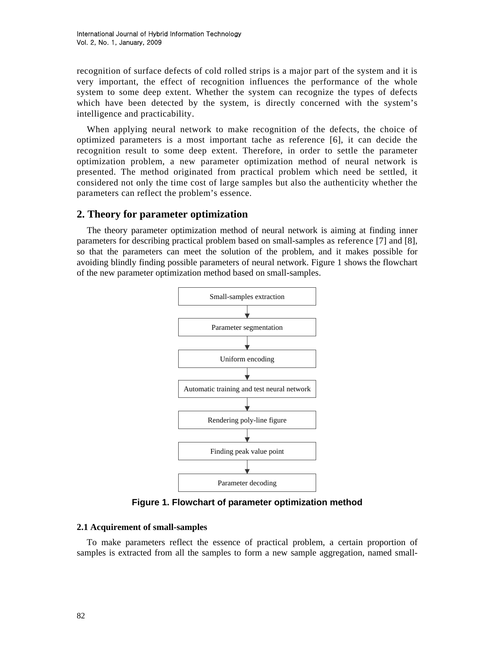recognition of surface defects of cold rolled strips is a major part of the system and it is very important, the effect of recognition influences the performance of the whole system to some deep extent. Whether the system can recognize the types of defects which have been detected by the system, is directly concerned with the system's intelligence and practicability.

When applying neural network to make recognition of the defects, the choice of optimized parameters is a most important tache as reference [6], it can decide the recognition result to some deep extent. Therefore, in order to settle the parameter optimization problem, a new parameter optimization method of neural network is presented. The method originated from practical problem which need be settled, it considered not only the time cost of large samples but also the authenticity whether the parameters can reflect the problem's essence.

### **2. Theory for parameter optimization**

The theory parameter optimization method of neural network is aiming at finding inner parameters for describing practical problem based on small-samples as reference [7] and [8], so that the parameters can meet the solution of the problem, and it makes possible for avoiding blindly finding possible parameters of neural network. Figure 1 shows the flowchart of the new parameter optimization method based on small-samples.



**Figure 1. Flowchart of parameter optimization method** 

#### **2.1 Acquirement of small-samples**

To make parameters reflect the essence of practical problem, a certain proportion of samples is extracted from all the samples to form a new sample aggregation, named small-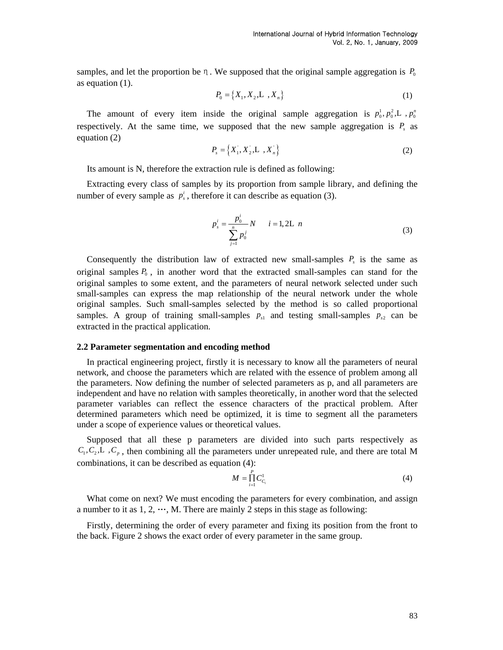samples, and let the proportion be  $\eta$ . We supposed that the original sample aggregation is  $P_0$ as equation (1).

$$
P_0 = \{X_1, X_2, L, X_n\}
$$
 (1)

The amount of every item inside the original sample aggregation is  $p_0^1, p_0^2, L, p_0^p$ respectively. At the same time, we supposed that the new sample aggregation is  $P<sub>s</sub>$  as equation (2)

$$
P_s = \{X_1, X_2, L, X_n\}
$$
 (2)

Its amount is N, therefore the extraction rule is defined as following:

Extracting every class of samples by its proportion from sample library, and defining the number of every sample as  $p_s^i$ , therefore it can describe as equation (3).

$$
p_s^i = \frac{p_0^i}{\sum_{j=1}^n p_0^j} N \qquad i = 1, 2L \ n \tag{3}
$$

Consequently the distribution law of extracted new small-samples  $P_s$  is the same as original samples  $P_0$ , in another word that the extracted small-samples can stand for the original samples to some extent, and the parameters of neural network selected under such small-samples can express the map relationship of the neural network under the whole original samples. Such small-samples selected by the method is so called proportional samples. A group of training small-samples  $p_{s1}$  and testing small-samples  $p_{s2}$  can be extracted in the practical application.

#### **2.2 Parameter segmentation and encoding method**

In practical engineering project, firstly it is necessary to know all the parameters of neural network, and choose the parameters which are related with the essence of problem among all the parameters. Now defining the number of selected parameters as p, and all parameters are independent and have no relation with samples theoretically, in another word that the selected parameter variables can reflect the essence characters of the practical problem. After determined parameters which need be optimized, it is time to segment all the parameters under a scope of experience values or theoretical values.

Supposed that all these p parameters are divided into such parts respectively as  $C_1, C_2, L, C_\rho$ , then combining all the parameters under unrepeated rule, and there are total M combinations, it can be described as equation (4):

$$
M = \prod_{i=1}^{P} C_{C_i}^1
$$
 (4)

What come on next? We must encoding the parameters for every combination, and assign a number to it as  $1, 2, \dots, M$ . There are mainly 2 steps in this stage as following:

Firstly, determining the order of every parameter and fixing its position from the front to the back. Figure 2 shows the exact order of every parameter in the same group.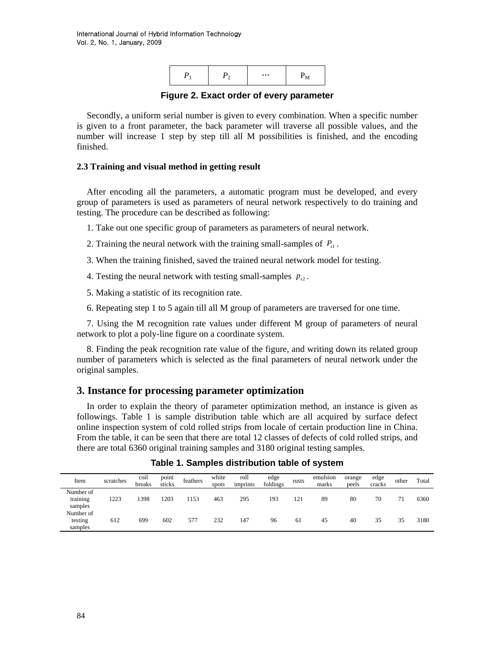

**Figure 2. Exact order of every parameter** 

Secondly, a uniform serial number is given to every combination. When a specific number is given to a front parameter, the back parameter will traverse all possible values, and the number will increase 1 step by step till all M possibilities is finished, and the encoding finished.

### **2.3 Training and visual method in getting result**

After encoding all the parameters, a automatic program must be developed, and every group of parameters is used as parameters of neural network respectively to do training and testing. The procedure can be described as following:

- 1. Take out one specific group of parameters as parameters of neural network.
- 2. Training the neural network with the training small-samples of  $P_{s1}$ .
- 3. When the training finished, saved the trained neural network model for testing.
- 4. Testing the neural network with testing small-samples  $p_{s2}$ .
- 5. Making a statistic of its recognition rate.
- 6. Repeating step 1 to 5 again till all M group of parameters are traversed for one time.

7. Using the M recognition rate values under different M group of parameters of neural network to plot a poly-line figure on a coordinate system.

8. Finding the peak recognition rate value of the figure, and writing down its related group number of parameters which is selected as the final parameters of neural network under the original samples.

### **3. Instance for processing parameter optimization**

In order to explain the theory of parameter optimization method, an instance is given as followings. Table 1 is sample distribution table which are all acquired by surface defect online inspection system of cold rolled strips from locale of certain production line in China. From the table, it can be seen that there are total 12 classes of defects of cold rolled strips, and there are total 6360 original training samples and 3180 original testing samples.

| Item                             | scratches | coil<br>breaks | point<br>sticks | feathers | white<br>spots | roll<br>imprints | edge<br>foldings | rusts | emulsion<br>marks | orange<br>peels | edge<br>cracks | other | Total |
|----------------------------------|-----------|----------------|-----------------|----------|----------------|------------------|------------------|-------|-------------------|-----------------|----------------|-------|-------|
| Number of<br>training<br>samples | 1223      | 1398           | 1203            | 1153     | 463            | 295              | 193              | 121   | 89                | 80              | 70             | 71    | 6360  |
| Number of<br>testing<br>samples  | 612       | 699            | 602             | 577      | 232            | 147              | 96               | 61    | 45                | 40              | 35             | 35    | 3180  |

**Table 1. Samples distribution table of system**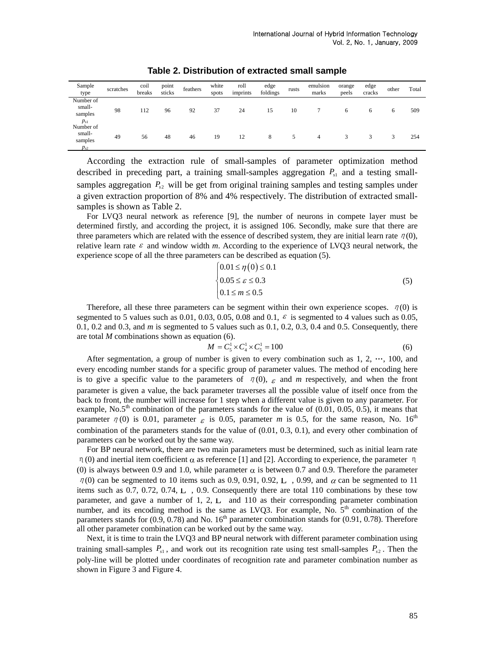| Sample<br>type                                         | scratches | coil<br>breaks | point<br>sticks | feathers | white<br>spots | roll<br>imprints | edge<br>foldings | rusts | emulsion<br>marks | orange<br>peels | edge<br>cracks | other | Total |
|--------------------------------------------------------|-----------|----------------|-----------------|----------|----------------|------------------|------------------|-------|-------------------|-----------------|----------------|-------|-------|
| Number of<br>small-<br>samples                         | 98        | 112            | 96              | 92       | 37             | 24               | 15               | 10    |                   | 6               | 6              | 6     | 509   |
| $p_{s1}$<br>Number of<br>small-<br>samples<br>$p_{s2}$ | 49        | 56             | 48              | 46       | 19             | 12               | 8                | 5     | 4                 | 3               | 3              | 3     | 254   |

**Table 2. Distribution of extracted small sample** 

According the extraction rule of small-samples of parameter optimization method described in preceding part, a training small-samples aggregation  $P_{s1}$  and a testing smallsamples aggregation  $P_{s2}$  will be get from original training samples and testing samples under a given extraction proportion of 8% and 4% respectively. The distribution of extracted smallsamples is shown as Table 2.

For LVQ3 neural network as reference [9], the number of neurons in compete layer must be determined firstly, and according the project, it is assigned 106. Secondly, make sure that there are three parameters which are related with the essence of described system, they are initial learn rate  $\eta(0)$ , relative learn rate  $\varepsilon$  and window width *m*. According to the experience of LVQ3 neural network, the experience scope of all the three parameters can be described as equation (5).

$$
\begin{cases}\n0.01 \le \eta(0) \le 0.1 \\
0.05 \le \varepsilon \le 0.3 \\
0.1 \le m \le 0.5\n\end{cases}
$$
\n(5)

Therefore, all these three parameters can be segment within their own experience scopes.  $\eta(0)$  is segmented to 5 values such as 0.01, 0.03, 0.05, 0.08 and 0.1,  $\varepsilon$  is segmented to 4 values such as 0.05, 0.1, 0.2 and 0.3, and *m* is segmented to 5 values such as 0.1, 0.2, 0.3, 0.4 and 0.5. Consequently, there are total  $M$  combinations shown as equation (6).

$$
M = C_5^1 \times C_4^1 \times C_5^1 = 100
$$
 (6)

After segmentation, a group of number is given to every combination such as  $1, 2, \dots, 100$ , and every encoding number stands for a specific group of parameter values. The method of encoding here is to give a specific value to the parameters of  $\eta(0)$ ,  $\epsilon$  and *m* respectively, and when the front parameter is given a value, the back parameter traverses all the possible value of itself once from the back to front, the number will increase for 1 step when a different value is given to any parameter. For example,  $\text{No.5}^{\text{th}}$  combination of the parameters stands for the value of (0.01, 0.05, 0.5), it means that parameter  $\eta$  (0) is 0.01, parameter  $\varepsilon$  is 0.05, parameter *m* is 0.5, for the same reason, No. 16<sup>th</sup> combination of the parameters stands for the value of (0.01, 0.3, 0.1), and every other combination of parameters can be worked out by the same way.

For BP neural network, there are two main parameters must be determined, such as initial learn rate η(0) and inertial item coefficient  $\alpha$  as reference [1] and [2]. According to experience, the parameter η (0) is always between 0.9 and 1.0, while parameter  $\alpha$  is between 0.7 and 0.9. Therefore the parameter  $\eta$ (0) can be segmented to 10 items such as 0.9, 0.91, 0.92, L, 0.99, and  $\alpha$  can be segmented to 11 items such as 0.7, 0.72, 0.74, L , 0.9. Consequently there are total 110 combinations by these tow parameter, and gave a number of 1, 2, L and 110 as their corresponding parameter combination number, and its encoding method is the same as LVQ3. For example, No.  $5<sup>th</sup>$  combination of the parameters stands for  $(0.9, 0.78)$  and No. 16<sup>th</sup> parameter combination stands for  $(0.91, 0.78)$ . Therefore all other parameter combination can be worked out by the same way.

Next, it is time to train the LVQ3 and BP neural network with different parameter combination using training small-samples  $P_{s1}$ , and work out its recognition rate using test small-samples  $P_{s2}$ . Then the poly-line will be plotted under coordinates of recognition rate and parameter combination number as shown in Figure 3 and Figure 4.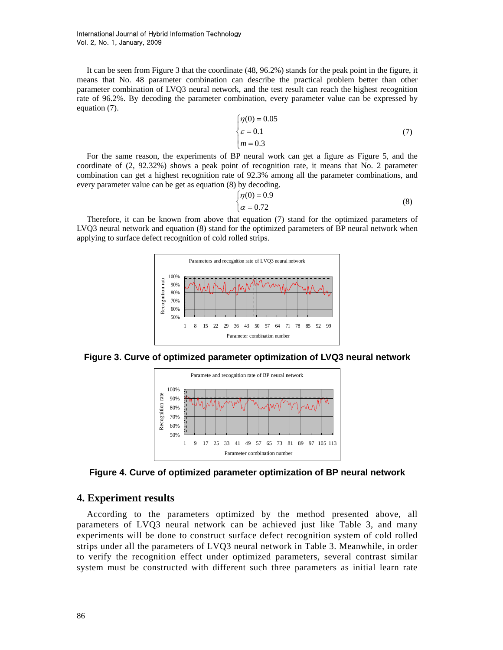It can be seen from Figure 3 that the coordinate (48, 96.2%) stands for the peak point in the figure, it means that No. 48 parameter combination can describe the practical problem better than other parameter combination of LVQ3 neural network, and the test result can reach the highest recognition rate of 96.2%. By decoding the parameter combination, every parameter value can be expressed by equation (7).

$$
\begin{cases}\n\eta(0) = 0.05 \\
\varepsilon = 0.1 \\
m = 0.3\n\end{cases} (7)
$$

For the same reason, the experiments of BP neural work can get a figure as Figure 5, and the coordinate of (2, 92.32%) shows a peak point of recognition rate, it means that No. 2 parameter combination can get a highest recognition rate of 92.3% among all the parameter combinations, and every parameter value can be get as equation (8) by decoding.

$$
\begin{cases}\n\eta(0) = 0.9\\
\alpha = 0.72\n\end{cases}
$$
\n(8)

Therefore, it can be known from above that equation (7) stand for the optimized parameters of LVQ3 neural network and equation (8) stand for the optimized parameters of BP neural network when applying to surface defect recognition of cold rolled strips.



**Figure 3. Curve of optimized parameter optimization of LVQ3 neural network** 



**Figure 4. Curve of optimized parameter optimization of BP neural network** 

### **4. Experiment results**

According to the parameters optimized by the method presented above, all parameters of LVQ3 neural network can be achieved just like Table 3, and many experiments will be done to construct surface defect recognition system of cold rolled strips under all the parameters of LVQ3 neural network in Table 3. Meanwhile, in order to verify the recognition effect under optimized parameters, several contrast similar system must be constructed with different such three parameters as initial learn rate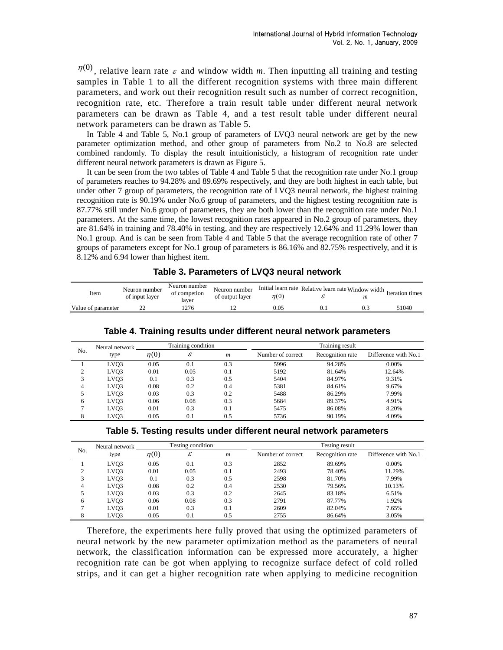$\eta^{(0)}$ , relative learn rate  $\varepsilon$  and window width *m*. Then inputting all training and testing samples in Table 1 to all the different recognition systems with three main different parameters, and work out their recognition result such as number of correct recognition, recognition rate, etc. Therefore a train result table under different neural network parameters can be drawn as Table 4, and a test result table under different neural network parameters can be drawn as Table 5.

In Table 4 and Table 5, No.1 group of parameters of LVQ3 neural network are get by the new parameter optimization method, and other group of parameters from No.2 to No.8 are selected combined randomly. To display the result intuitionisticly, a histogram of recognition rate under different neural network parameters is drawn as Figure 5.

It can be seen from the two tables of Table 4 and Table 5 that the recognition rate under No.1 group of parameters reaches to 94.28% and 89.69% respectively, and they are both highest in each table, but under other 7 group of parameters, the recognition rate of LVQ3 neural network, the highest training recognition rate is 90.19% under No.6 group of parameters, and the highest testing recognition rate is 87.77% still under No.6 group of parameters, they are both lower than the recognition rate under No.1 parameters. At the same time, the lowest recognition rates appeared in No.2 group of parameters, they are 81.64% in training and 78.40% in testing, and they are respectively 12.64% and 11.29% lower than No.1 group. And is can be seen from Table 4 and Table 5 that the average recognition rate of other 7 groups of parameters except for No.1 group of parameters is 86.16% and 82.75% respectively, and it is 8.12% and 6.94 lower than highest item.

| Item               | Neuron number<br>of input laver | Neuron number<br>of competion<br>laver | Neuron number<br>of output laver | n(0) | $\sigma$ Initial learn rate Relative learn rate Window width $\tau$ | m | Iteration times |
|--------------------|---------------------------------|----------------------------------------|----------------------------------|------|---------------------------------------------------------------------|---|-----------------|
| Value of parameter |                                 | .276                                   |                                  | 0.05 |                                                                     |   | 51040           |

|     | Neural network    |           | Training condition |                  | Training result   |                  |                      |  |  |
|-----|-------------------|-----------|--------------------|------------------|-------------------|------------------|----------------------|--|--|
| No. | type              | $\eta(0)$ | ε                  | $\boldsymbol{m}$ | Number of correct | Recognition rate | Difference with No.1 |  |  |
|     | LV <sub>O</sub> 3 | 0.05      | 0.1                | 0.3              | 5996              | 94.28%           | 0.00%                |  |  |
|     | LV <sub>O</sub> 3 | 0.01      | 0.05               | 0.1              | 5192              | 81.64%           | 12.64%               |  |  |
| 3   | LV <sub>O</sub> 3 | 0.1       | 0.3                | 0.5              | 5404              | 84.97%           | 9.31%                |  |  |
| 4   | LV <sub>O</sub> 3 | 0.08      | 0.2                | 0.4              | 5381              | 84.61%           | 9.67%                |  |  |
| 5   | LVO <sub>3</sub>  | 0.03      | 0.3                | 0.2              | 5488              | 86.29%           | 7.99%                |  |  |
| 6   | LVO <sub>3</sub>  | 0.06      | 0.08               | 0.3              | 5684              | 89.37%           | 4.91%                |  |  |
|     | LVO3              | 0.01      | 0.3                | 0.1              | 5475              | 86.08%           | 8.20%                |  |  |
| 8   | LVO3              | 0.05      | 0.1                | 0.5              | 5736              | 90.19%           | 4.09%                |  |  |

#### **Table 4. Training results under different neural network parameters**

| No. | Neural network    | Testing condition |      |                  | Testing result    |                  |                      |  |  |
|-----|-------------------|-------------------|------|------------------|-------------------|------------------|----------------------|--|--|
|     | type              | $\eta(0)$         | ε    | $\boldsymbol{m}$ | Number of correct | Recognition rate | Difference with No.1 |  |  |
|     | LVO <sub>3</sub>  | 0.05              | 0.1  | 0.3              | 2852              | 89.69%           | 0.00%                |  |  |
| ◠   | LV <sub>O</sub> 3 | 0.01              | 0.05 | 0.1              | 2493              | 78.40%           | 11.29%               |  |  |
| 3   | LVQ3              | 0.1               | 0.3  | 0.5              | 2598              | 81.70%           | 7.99%                |  |  |
| 4   | LVQ3              | 0.08              | 0.2  | 0.4              | 2530              | 79.56%           | 10.13%               |  |  |
|     | LVO3              | 0.03              | 0.3  | 0.2              | 2645              | 83.18%           | 6.51%                |  |  |
| 6   | LVQ3              | 0.06              | 0.08 | 0.3              | 2791              | 87.77%           | 1.92%                |  |  |
|     | LVQ3              | 0.01              | 0.3  | 0.1              | 2609              | 82.04%           | 7.65%                |  |  |
| 8   | LVO3              | 0.05              | 0.1  | 0.5              | 2755              | 86.64%           | 3.05%                |  |  |

Therefore, the experiments here fully proved that using the optimized parameters of neural network by the new parameter optimization method as the parameters of neural network, the classification information can be expressed more accurately, a higher recognition rate can be got when applying to recognize surface defect of cold rolled strips, and it can get a higher recognition rate when applying to medicine recognition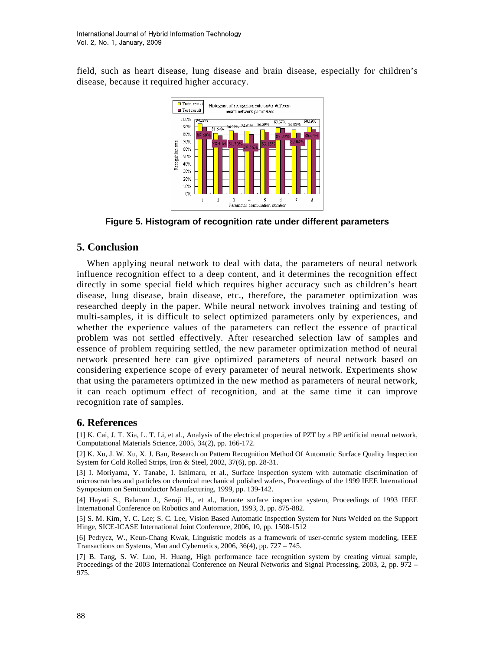field, such as heart disease, lung disease and brain disease, especially for children's disease, because it required higher accuracy.



**Figure 5. Histogram of recognition rate under different parameters** 

# **5. Conclusion**

When applying neural network to deal with data, the parameters of neural network influence recognition effect to a deep content, and it determines the recognition effect directly in some special field which requires higher accuracy such as children's heart disease, lung disease, brain disease, etc., therefore, the parameter optimization was researched deeply in the paper. While neural network involves training and testing of multi-samples, it is difficult to select optimized parameters only by experiences, and whether the experience values of the parameters can reflect the essence of practical problem was not settled effectively. After researched selection law of samples and essence of problem requiring settled, the new parameter optimization method of neural network presented here can give optimized parameters of neural network based on considering experience scope of every parameter of neural network. Experiments show that using the parameters optimized in the new method as parameters of neural network, it can reach optimum effect of recognition, and at the same time it can improve recognition rate of samples.

## **6. References**

[1] K. Cai, J. T. Xia, L. T. Li, et al., Analysis of the electrical properties of PZT by a BP artificial neural network, Computational Materials Science, 2005, 34(2), pp. 166-172.

[2] K. Xu, J. W. Xu, X. J. Ban, Research on Pattern Recognition Method Of Automatic Surface Quality Inspection System for Cold Rolled Strips, Iron & Steel, 2002, 37(6), pp. 28-31.

[3] I. Moriyama, Y. Tanabe, I. Ishimaru, et al., Surface inspection system with automatic discrimination of microscratches and particles on chemical mechanical polished wafers, Proceedings of the 1999 IEEE International Symposium on Semiconductor Manufacturing, 1999, pp. 139-142.

[4] Hayati S., Balaram J., Seraji H., et al., Remote surface inspection system, Proceedings of 1993 IEEE International Conference on Robotics and Automation, 1993, 3, pp. 875-882.

[5] S. M. Kim, Y. C. Lee; S. C. Lee, Vision Based Automatic Inspection System for Nuts Welded on the Support Hinge, SICE-ICASE International Joint Conference, 2006, 10, pp. 1508-1512

[6] Pedrycz, W., Keun-Chang Kwak, Linguistic models as a framework of user-centric system modeling, IEEE Transactions on Systems, Man and Cybernetics, 2006, 36(4), pp. 727 – 745.

[7] B. Tang, S. W. Luo, H. Huang, High performance face recognition system by creating virtual sample, Proceedings of the 2003 International Conference on Neural Networks and Signal Processing, 2003, 2, pp. 972 – 975.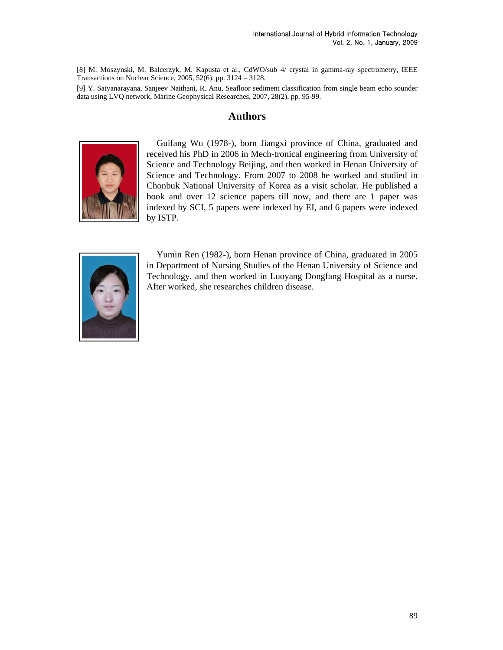[8] M. Moszynski, M. Balcerzyk, M. Kapusta et al., CdWO/sub 4/ crystal in gamma-ray spectrometry, IEEE Transactions on Nuclear Science, 2005, 52(6), pp. 3124 – 3128.

[9] Y. Satyanarayana, Sanjeev Naithani, R. Anu, Seafloor sediment classification from single beam echo sounder data using LVQ network, Marine Geophysical Researches, 2007, 28(2), pp. 95-99.

### **Authors**



Guifang Wu (1978-), born Jiangxi province of China, graduated and received his PhD in 2006 in Mech-tronical engineering from University of Science and Technology Beijing, and then worked in Henan University of Science and Technology. From 2007 to 2008 he worked and studied in Chonbuk National University of Korea as a visit scholar. He published a book and over 12 science papers till now, and there are 1 paper was indexed by SCI, 5 papers were indexed by EI, and 6 papers were indexed by ISTP.



Yumin Ren (1982-), born Henan province of China, graduated in 2005 in Department of Nursing Studies of the Henan University of Science and Technology, and then worked in Luoyang Dongfang Hospital as a nurse. After worked, she researches children disease.